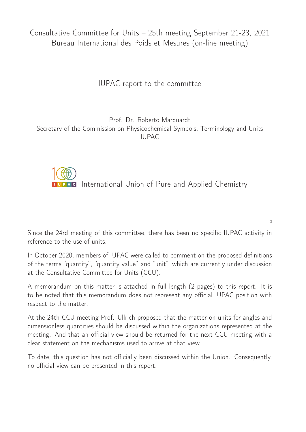Consultative Committee for Units – 25th meeting September 21-23, 2021 Bureau International des Poids et Mesures (on-line meeting)

IUPAC report to the committee

Prof. Dr. Roberto Marquardt Secretary of the Commission on Physicochemical Symbols, Terminology and Units IUPAC

**IUPAC** International Union of Pure and Applied Chemistry

 $\overline{2}$ 

Since the 24rd meeting of this committee, there has been no specific IUPAC activity in reference to the use of units.

In October 2020, members of IUPAC were called to comment on the proposed definitions of the terms "quantity", "quantity value" and "unit", which are currently under discussion at the Consultative Committee for Units (CCU).

A memorandum on this matter is attached in full length (2 pages) to this report. It is to be noted that this memorandum does not represent any official IUPAC position with respect to the matter.

At the 24th CCU meeting Prof. Ullrich proposed that the matter on units for angles and dimensionless quantities should be discussed within the organizations represented at the meeting. And that an official view should be returned for the next CCU meeting with a clear statement on the mechanisms used to arrive at that view.

To date, this question has not officially been discussed within the Union. Consequently, no official view can be presented in this report.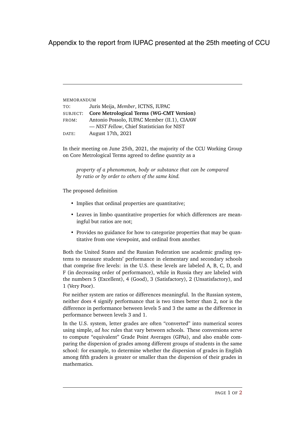Appendix to the report from IUPAC presented at the 25th meeting of CCU

| MEMORANDUM |                                                                            |
|------------|----------------------------------------------------------------------------|
| TO:        | Juris Meija, Member, ICTNS, IUPAC                                          |
| SUBJECT:   | <b>Core Metrological Terms (WG-CMT Version)</b>                            |
| FROM:      | Antonio Possolo, IUPAC Member (II.1), CIAAW                                |
|            | - NIST Fellow, Chief Statistician for NIST                                 |
| DATE:      | August 17th, 2021                                                          |
|            |                                                                            |
|            | In their meeting on June 25th, 2021, the majority of the CCU Working Group |

on Core Metrological Terms agreed to define *quantity* as a *property of a phenomenon, body or substance that can be compared*

*by ratio or by order to others of the same kind.*

The proposed definition

- Implies that ordinal properties are quantitative;
- Leaves in limbo quantitative properties for which differences are meaningful but ratios are not;
- Provides no guidance for how to categorize properties that may be quantitative from one viewpoint, and ordinal from another.

Both the United States and the Russian Federation use academic grading systems to measure students' performance in elementary and secondary schools that comprise five levels: in the U.S. these levels are labeled A, B, C, D, and F (in decreasing order of performance), while in Russia they are labeled with the numbers 5 (Excellent), 4 (Good), 3 (Satisfactory), 2 (Unsatisfactory), and 1 (Very Poor).

For neither system are ratios or differences meaningful. In the Russian system, neither does 4 signify performance that is two times better than 2, nor is the difference in performance between levels 5 and 3 the same as the difference in performance between levels 3 and 1.

In the U.S. system, letter grades are often "converted" into numerical scores using simple, *ad hoc* rules that vary between schools. These conversions serve to compute "equivalent" Grade Point Averages (GPAs), and also enable comparing the dispersion of grades among different groups of students in the same school: for example, to determine whether the dispersion of grades in English among fifth graders is greater or smaller than the dispersion of their grades in mathematics.